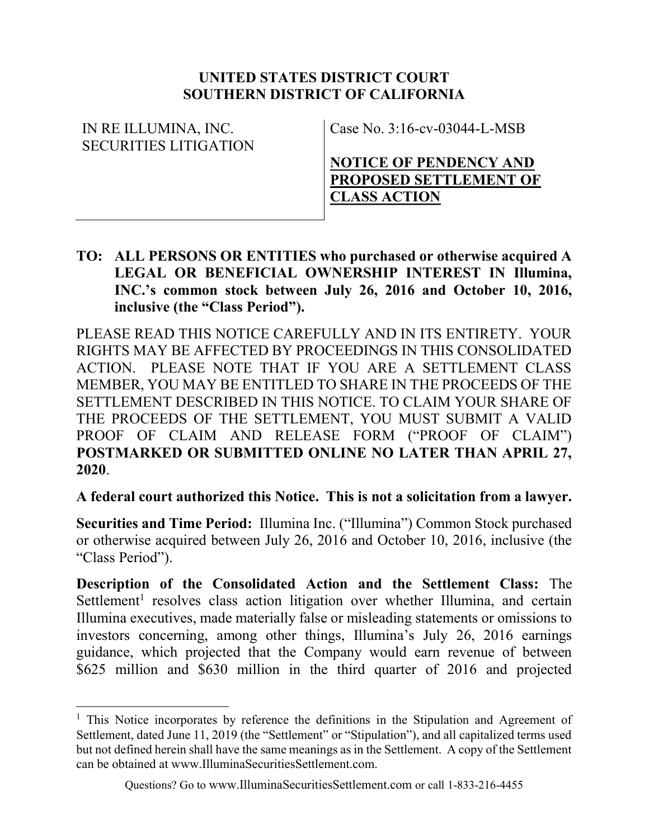#### UNITED STATES DISTRICT COURT SOUTHERN DISTRICT OF CALIFORNIA

| IN RE ILLUMINA, INC.  | Case No. $3:16$ -cv-03044-L-MSB |
|-----------------------|---------------------------------|
| SECURITIES LITIGATION |                                 |
|                       | NOTICE OF PENDENCY AND          |
|                       | <b>PROPOSED SETTLEMENT OF</b>   |
|                       | <b>CLASS ACTION</b>             |

TO: ALL PERSONS OR ENTITIES who purchased or otherwise acquired A LEGAL OR BENEFICIAL OWNERSHIP INTEREST IN Illumina, INC.'s common stock between July 26, 2016 and October 10, 2016, inclusive (the "Class Period").

PLEASE READ THIS NOTICE CAREFULLY AND IN ITS ENTIRETY. YOUR RIGHTS MAY BE AFFECTED BY PROCEEDINGS IN THIS CONSOLIDATED ACTION. PLEASE NOTE THAT IF YOU ARE A SETTLEMENT CLASS MEMBER, YOU MAY BE ENTITLED TO SHARE IN THE PROCEEDS OF THE SETTLEMENT DESCRIBED IN THIS NOTICE. TO CLAIM YOUR SHARE OF THE PROCEEDS OF THE SETTLEMENT, YOU MUST SUBMIT A VALID PROOF OF CLAIM AND RELEASE FORM ("PROOF OF CLAIM") POSTMARKED OR SUBMITTED ONLINE NO LATER THAN APRIL 27, 2020.

A federal court authorized this Notice. This is not a solicitation from a lawyer.

Securities and Time Period: Illumina Inc. ("Illumina") Common Stock purchased or otherwise acquired between July 26, 2016 and October 10, 2016, inclusive (the "Class Period").

Description of the Consolidated Action and the Settlement Class: The Settlement<sup>1</sup> resolves class action litigation over whether Illumina, and certain Illumina executives, made materially false or misleading statements or omissions to investors concerning, among other things, Illumina's July 26, 2016 earnings guidance, which projected that the Company would earn revenue of between \$625 million and \$630 million in the third quarter of 2016 and projected

 $\overline{a}$ 

<sup>&</sup>lt;sup>1</sup> This Notice incorporates by reference the definitions in the Stipulation and Agreement of Settlement, dated June 11, 2019 (the "Settlement" or "Stipulation"), and all capitalized terms used but not defined herein shall have the same meanings as in the Settlement. A copy of the Settlement can be obtained at www.IlluminaSecuritiesSettlement.com.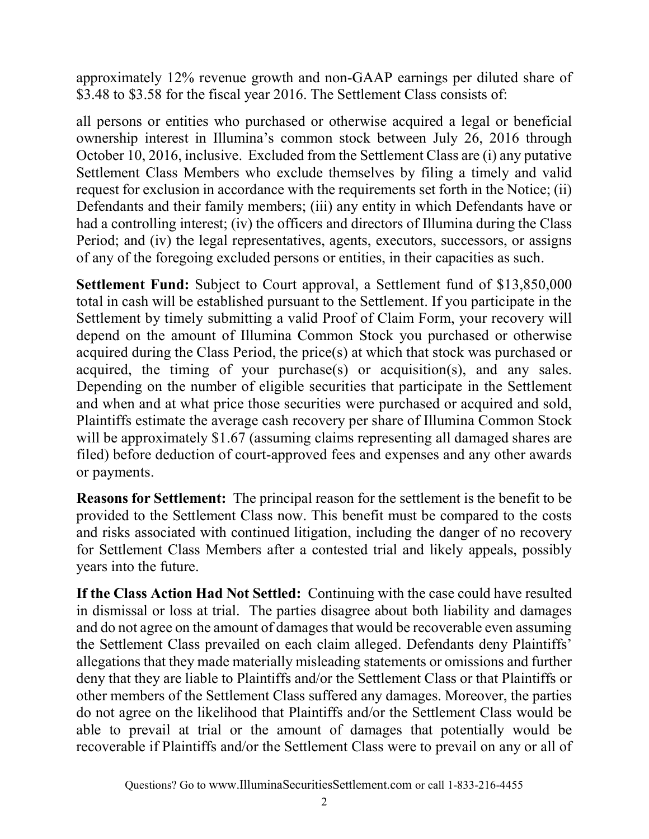approximately 12% revenue growth and non-GAAP earnings per diluted share of \$3.48 to \$3.58 for the fiscal year 2016. The Settlement Class consists of:

all persons or entities who purchased or otherwise acquired a legal or beneficial ownership interest in Illumina's common stock between July 26, 2016 through October 10, 2016, inclusive. Excluded from the Settlement Class are (i) any putative Settlement Class Members who exclude themselves by filing a timely and valid request for exclusion in accordance with the requirements set forth in the Notice; (ii) Defendants and their family members; (iii) any entity in which Defendants have or had a controlling interest; (iv) the officers and directors of Illumina during the Class Period; and (iv) the legal representatives, agents, executors, successors, or assigns of any of the foregoing excluded persons or entities, in their capacities as such.

Settlement Fund: Subject to Court approval, a Settlement fund of \$13,850,000 total in cash will be established pursuant to the Settlement. If you participate in the Settlement by timely submitting a valid Proof of Claim Form, your recovery will depend on the amount of Illumina Common Stock you purchased or otherwise acquired during the Class Period, the price(s) at which that stock was purchased or acquired, the timing of your purchase(s) or acquisition(s), and any sales. Depending on the number of eligible securities that participate in the Settlement and when and at what price those securities were purchased or acquired and sold, Plaintiffs estimate the average cash recovery per share of Illumina Common Stock will be approximately \$1.67 (assuming claims representing all damaged shares are filed) before deduction of court-approved fees and expenses and any other awards or payments.

Reasons for Settlement: The principal reason for the settlement is the benefit to be provided to the Settlement Class now. This benefit must be compared to the costs and risks associated with continued litigation, including the danger of no recovery for Settlement Class Members after a contested trial and likely appeals, possibly years into the future.

If the Class Action Had Not Settled: Continuing with the case could have resulted in dismissal or loss at trial. The parties disagree about both liability and damages and do not agree on the amount of damages that would be recoverable even assuming the Settlement Class prevailed on each claim alleged. Defendants deny Plaintiffs' allegations that they made materially misleading statements or omissions and further deny that they are liable to Plaintiffs and/or the Settlement Class or that Plaintiffs or other members of the Settlement Class suffered any damages. Moreover, the parties do not agree on the likelihood that Plaintiffs and/or the Settlement Class would be able to prevail at trial or the amount of damages that potentially would be recoverable if Plaintiffs and/or the Settlement Class were to prevail on any or all of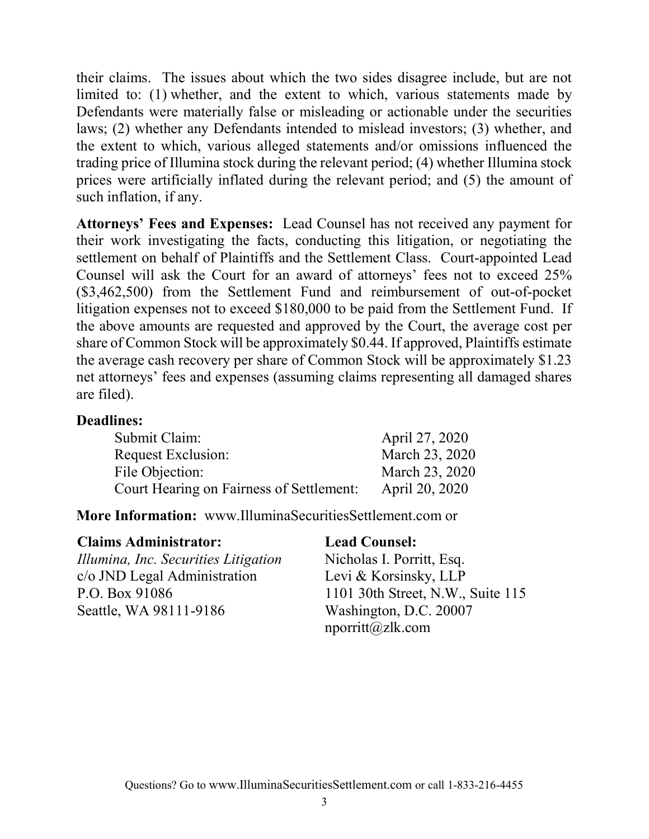their claims. The issues about which the two sides disagree include, but are not limited to: (1) whether, and the extent to which, various statements made by Defendants were materially false or misleading or actionable under the securities laws; (2) whether any Defendants intended to mislead investors; (3) whether, and the extent to which, various alleged statements and/or omissions influenced the trading price of Illumina stock during the relevant period; (4) whether Illumina stock prices were artificially inflated during the relevant period; and (5) the amount of such inflation, if any.

Attorneys' Fees and Expenses: Lead Counsel has not received any payment for their work investigating the facts, conducting this litigation, or negotiating the settlement on behalf of Plaintiffs and the Settlement Class. Court-appointed Lead Counsel will ask the Court for an award of attorneys' fees not to exceed 25% (\$3,462,500) from the Settlement Fund and reimbursement of out-of-pocket litigation expenses not to exceed \$180,000 to be paid from the Settlement Fund. If the above amounts are requested and approved by the Court, the average cost per share of Common Stock will be approximately \$0.44. If approved, Plaintiffs estimate the average cash recovery per share of Common Stock will be approximately \$1.23 net attorneys' fees and expenses (assuming claims representing all damaged shares are filed).

#### Deadlines:

| Submit Claim:                            | April 27, 2020 |
|------------------------------------------|----------------|
| <b>Request Exclusion:</b>                | March 23, 2020 |
| File Objection:                          | March 23, 2020 |
| Court Hearing on Fairness of Settlement: | April 20, 2020 |

#### More Information: www.IlluminaSecuritiesSettlement.com or

#### Claims Administrator: Lead Counsel:

Illumina, Inc. Securities Litigation c/o JND Legal Administration P.O. Box 91086 Seattle, WA 98111-9186

Nicholas I. Porritt, Esq. Levi & Korsinsky, LLP 1101 30th Street, N.W., Suite 115 Washington, D.C. 20007 nporritt@zlk.com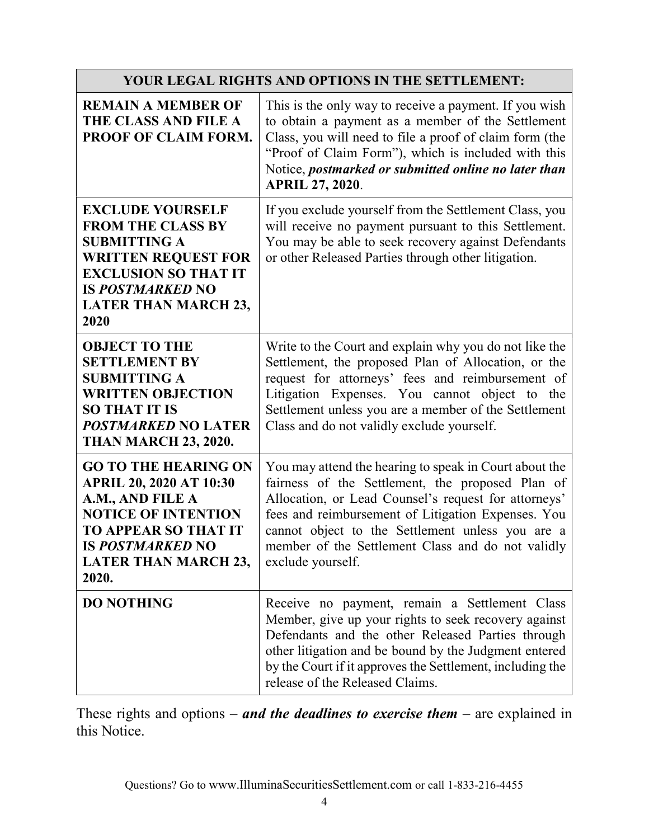| YOUR LEGAL RIGHTS AND OPTIONS IN THE SETTLEMENT:                                                                                                                                                                  |                                                                                                                                                                                                                                                                                                                                                        |
|-------------------------------------------------------------------------------------------------------------------------------------------------------------------------------------------------------------------|--------------------------------------------------------------------------------------------------------------------------------------------------------------------------------------------------------------------------------------------------------------------------------------------------------------------------------------------------------|
| <b>REMAIN A MEMBER OF</b><br>THE CLASS AND FILE A<br>PROOF OF CLAIM FORM.                                                                                                                                         | This is the only way to receive a payment. If you wish<br>to obtain a payment as a member of the Settlement<br>Class, you will need to file a proof of claim form (the<br>"Proof of Claim Form"), which is included with this<br>Notice, postmarked or submitted online no later than<br><b>APRIL 27, 2020.</b>                                        |
| <b>EXCLUDE YOURSELF</b><br><b>FROM THE CLASS BY</b><br><b>SUBMITTING A</b><br><b>WRITTEN REQUEST FOR</b><br><b>EXCLUSION SO THAT IT</b><br><b>IS POSTMARKED NO</b><br><b>LATER THAN MARCH 23,</b><br>2020         | If you exclude yourself from the Settlement Class, you<br>will receive no payment pursuant to this Settlement.<br>You may be able to seek recovery against Defendants<br>or other Released Parties through other litigation.                                                                                                                           |
| <b>OBJECT TO THE</b><br><b>SETTLEMENT BY</b><br><b>SUBMITTING A</b><br><b>WRITTEN OBJECTION</b><br><b>SO THAT IT IS</b><br><b>POSTMARKED NO LATER</b><br><b>THAN MARCH 23, 2020.</b>                              | Write to the Court and explain why you do not like the<br>Settlement, the proposed Plan of Allocation, or the<br>request for attorneys' fees and reimbursement of<br>Litigation Expenses. You cannot object to the<br>Settlement unless you are a member of the Settlement<br>Class and do not validly exclude yourself.                               |
| <b>GO TO THE HEARING ON</b><br><b>APRIL 20, 2020 AT 10:30</b><br>A.M., AND FILE A<br><b>NOTICE OF INTENTION</b><br><b>TO APPEAR SO THAT IT</b><br><b>IS POSTMARKED NO</b><br><b>LATER THAN MARCH 23,</b><br>2020. | You may attend the hearing to speak in Court about the<br>fairness of the Settlement, the proposed Plan of<br>Allocation, or Lead Counsel's request for attorneys'<br>fees and reimbursement of Litigation Expenses. You<br>cannot object to the Settlement unless you are a<br>member of the Settlement Class and do not validly<br>exclude yourself. |
| <b>DO NOTHING</b>                                                                                                                                                                                                 | Receive no payment, remain a Settlement Class<br>Member, give up your rights to seek recovery against<br>Defendants and the other Released Parties through<br>other litigation and be bound by the Judgment entered<br>by the Court if it approves the Settlement, including the<br>release of the Released Claims.                                    |

These rights and options – and the deadlines to exercise them – are explained in this Notice.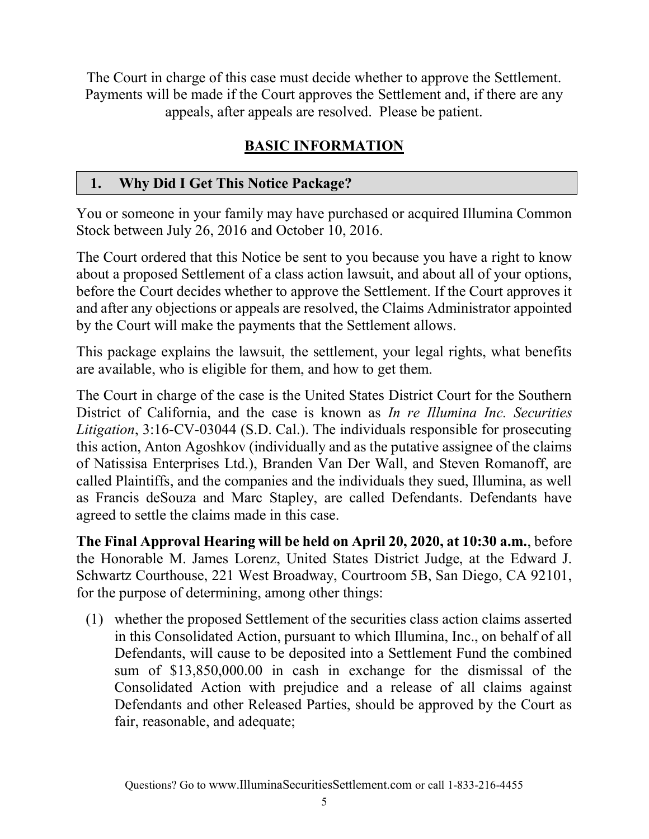The Court in charge of this case must decide whether to approve the Settlement. Payments will be made if the Court approves the Settlement and, if there are any appeals, after appeals are resolved. Please be patient.

## BASIC INFORMATION

#### 1. Why Did I Get This Notice Package?

You or someone in your family may have purchased or acquired Illumina Common Stock between July 26, 2016 and October 10, 2016.

The Court ordered that this Notice be sent to you because you have a right to know about a proposed Settlement of a class action lawsuit, and about all of your options, before the Court decides whether to approve the Settlement. If the Court approves it and after any objections or appeals are resolved, the Claims Administrator appointed by the Court will make the payments that the Settlement allows.

This package explains the lawsuit, the settlement, your legal rights, what benefits are available, who is eligible for them, and how to get them.

The Court in charge of the case is the United States District Court for the Southern District of California, and the case is known as In re Illumina Inc. Securities Litigation, 3:16-CV-03044 (S.D. Cal.). The individuals responsible for prosecuting this action, Anton Agoshkov (individually and as the putative assignee of the claims of Natissisa Enterprises Ltd.), Branden Van Der Wall, and Steven Romanoff, are called Plaintiffs, and the companies and the individuals they sued, Illumina, as well as Francis deSouza and Marc Stapley, are called Defendants. Defendants have agreed to settle the claims made in this case.

The Final Approval Hearing will be held on April 20, 2020, at 10:30 a.m., before the Honorable M. James Lorenz, United States District Judge, at the Edward J. Schwartz Courthouse, 221 West Broadway, Courtroom 5B, San Diego, CA 92101, for the purpose of determining, among other things:

(1) whether the proposed Settlement of the securities class action claims asserted in this Consolidated Action, pursuant to which Illumina, Inc., on behalf of all Defendants, will cause to be deposited into a Settlement Fund the combined sum of \$13,850,000.00 in cash in exchange for the dismissal of the Consolidated Action with prejudice and a release of all claims against Defendants and other Released Parties, should be approved by the Court as fair, reasonable, and adequate;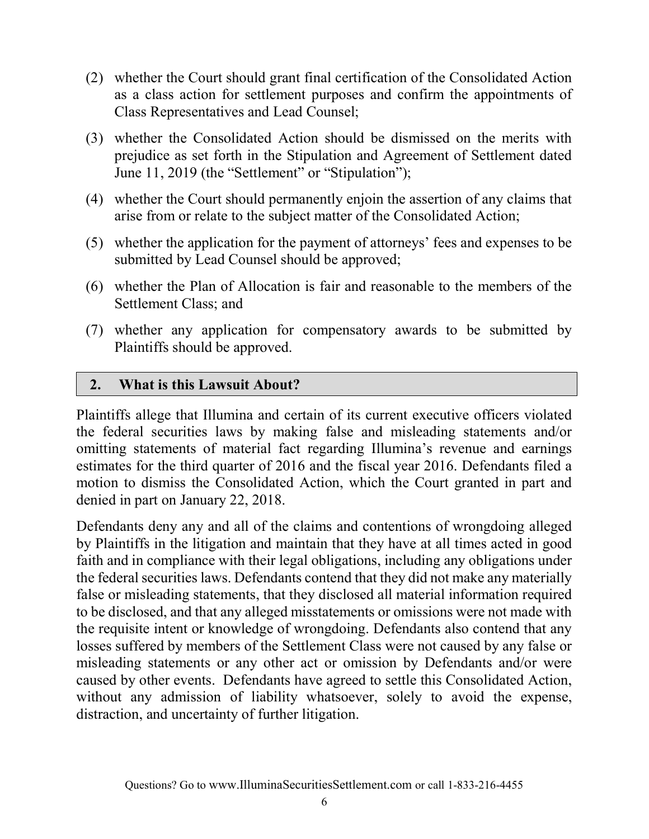- (2) whether the Court should grant final certification of the Consolidated Action as a class action for settlement purposes and confirm the appointments of Class Representatives and Lead Counsel;
- (3) whether the Consolidated Action should be dismissed on the merits with prejudice as set forth in the Stipulation and Agreement of Settlement dated June 11, 2019 (the "Settlement" or "Stipulation");
- (4) whether the Court should permanently enjoin the assertion of any claims that arise from or relate to the subject matter of the Consolidated Action;
- (5) whether the application for the payment of attorneys' fees and expenses to be submitted by Lead Counsel should be approved;
- (6) whether the Plan of Allocation is fair and reasonable to the members of the Settlement Class; and
- (7) whether any application for compensatory awards to be submitted by Plaintiffs should be approved.

#### 2. What is this Lawsuit About?

Plaintiffs allege that Illumina and certain of its current executive officers violated the federal securities laws by making false and misleading statements and/or omitting statements of material fact regarding Illumina's revenue and earnings estimates for the third quarter of 2016 and the fiscal year 2016. Defendants filed a motion to dismiss the Consolidated Action, which the Court granted in part and denied in part on January 22, 2018.

Defendants deny any and all of the claims and contentions of wrongdoing alleged by Plaintiffs in the litigation and maintain that they have at all times acted in good faith and in compliance with their legal obligations, including any obligations under the federal securities laws. Defendants contend that they did not make any materially false or misleading statements, that they disclosed all material information required to be disclosed, and that any alleged misstatements or omissions were not made with the requisite intent or knowledge of wrongdoing. Defendants also contend that any losses suffered by members of the Settlement Class were not caused by any false or misleading statements or any other act or omission by Defendants and/or were caused by other events. Defendants have agreed to settle this Consolidated Action, without any admission of liability whatsoever, solely to avoid the expense, distraction, and uncertainty of further litigation.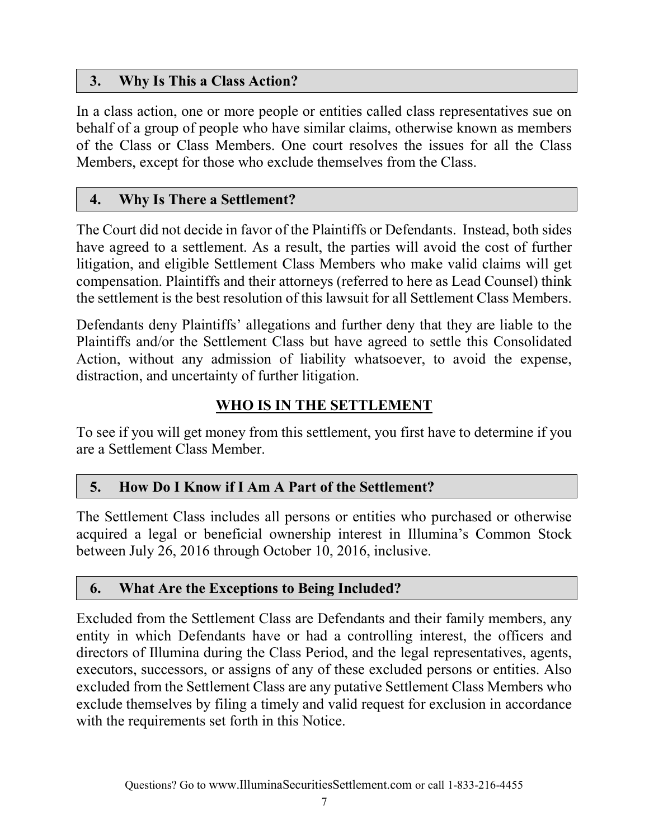## 3. Why Is This a Class Action?

In a class action, one or more people or entities called class representatives sue on behalf of a group of people who have similar claims, otherwise known as members of the Class or Class Members. One court resolves the issues for all the Class Members, except for those who exclude themselves from the Class.

#### 4. Why Is There a Settlement?

The Court did not decide in favor of the Plaintiffs or Defendants. Instead, both sides have agreed to a settlement. As a result, the parties will avoid the cost of further litigation, and eligible Settlement Class Members who make valid claims will get compensation. Plaintiffs and their attorneys (referred to here as Lead Counsel) think the settlement is the best resolution of this lawsuit for all Settlement Class Members.

Defendants deny Plaintiffs' allegations and further deny that they are liable to the Plaintiffs and/or the Settlement Class but have agreed to settle this Consolidated Action, without any admission of liability whatsoever, to avoid the expense, distraction, and uncertainty of further litigation.

## WHO IS IN THE SETTLEMENT

To see if you will get money from this settlement, you first have to determine if you are a Settlement Class Member.

#### 5. How Do I Know if I Am A Part of the Settlement?

The Settlement Class includes all persons or entities who purchased or otherwise acquired a legal or beneficial ownership interest in Illumina's Common Stock between July 26, 2016 through October 10, 2016, inclusive.

#### 6. What Are the Exceptions to Being Included?

Excluded from the Settlement Class are Defendants and their family members, any entity in which Defendants have or had a controlling interest, the officers and directors of Illumina during the Class Period, and the legal representatives, agents, executors, successors, or assigns of any of these excluded persons or entities. Also excluded from the Settlement Class are any putative Settlement Class Members who exclude themselves by filing a timely and valid request for exclusion in accordance with the requirements set forth in this Notice.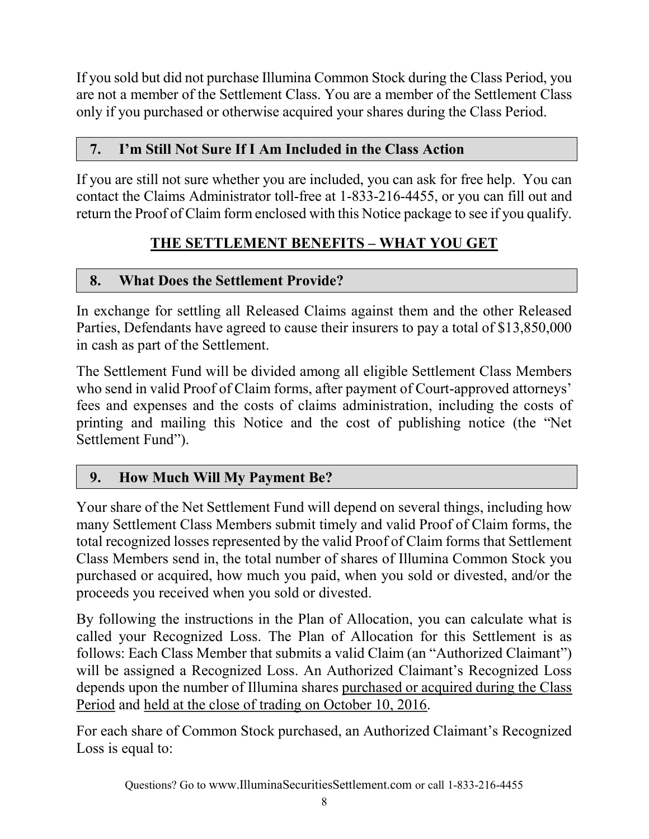If you sold but did not purchase Illumina Common Stock during the Class Period, you are not a member of the Settlement Class. You are a member of the Settlement Class only if you purchased or otherwise acquired your shares during the Class Period.

## 7. I'm Still Not Sure If I Am Included in the Class Action

If you are still not sure whether you are included, you can ask for free help. You can contact the Claims Administrator toll-free at 1-833-216-4455, or you can fill out and return the Proof of Claim form enclosed with this Notice package to see if you qualify.

## THE SETTLEMENT BENEFITS – WHAT YOU GET

## 8. What Does the Settlement Provide?

In exchange for settling all Released Claims against them and the other Released Parties, Defendants have agreed to cause their insurers to pay a total of \$13,850,000 in cash as part of the Settlement.

The Settlement Fund will be divided among all eligible Settlement Class Members who send in valid Proof of Claim forms, after payment of Court-approved attorneys' fees and expenses and the costs of claims administration, including the costs of printing and mailing this Notice and the cost of publishing notice (the "Net Settlement Fund").

## 9. How Much Will My Payment Be?

Your share of the Net Settlement Fund will depend on several things, including how many Settlement Class Members submit timely and valid Proof of Claim forms, the total recognized losses represented by the valid Proof of Claim forms that Settlement Class Members send in, the total number of shares of Illumina Common Stock you purchased or acquired, how much you paid, when you sold or divested, and/or the proceeds you received when you sold or divested.

By following the instructions in the Plan of Allocation, you can calculate what is called your Recognized Loss. The Plan of Allocation for this Settlement is as follows: Each Class Member that submits a valid Claim (an "Authorized Claimant") will be assigned a Recognized Loss. An Authorized Claimant's Recognized Loss depends upon the number of Illumina shares purchased or acquired during the Class Period and held at the close of trading on October 10, 2016.

For each share of Common Stock purchased, an Authorized Claimant's Recognized Loss is equal to: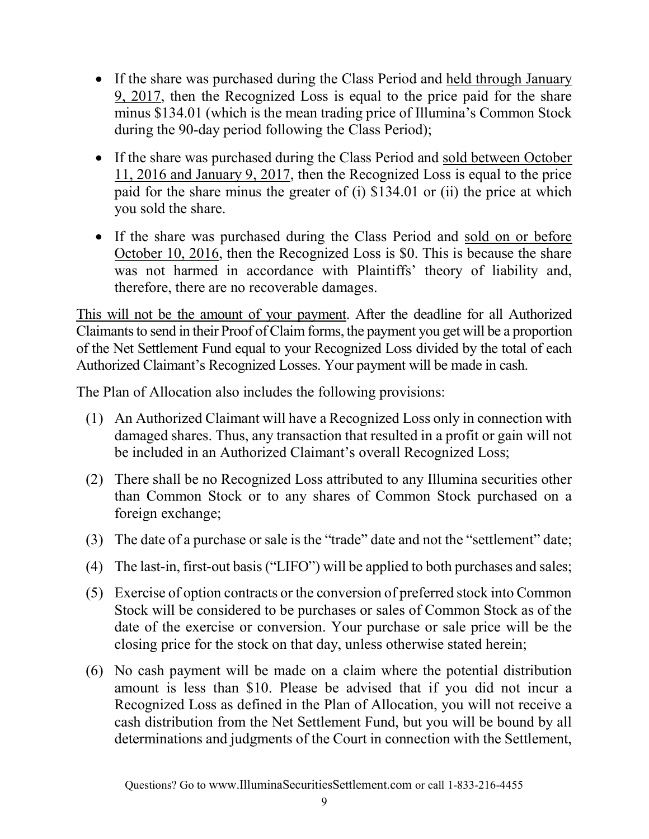- If the share was purchased during the Class Period and held through January 9, 2017, then the Recognized Loss is equal to the price paid for the share minus \$134.01 (which is the mean trading price of Illumina's Common Stock during the 90-day period following the Class Period);
- If the share was purchased during the Class Period and sold between October 11, 2016 and January 9, 2017, then the Recognized Loss is equal to the price paid for the share minus the greater of (i) \$134.01 or (ii) the price at which you sold the share.
- If the share was purchased during the Class Period and sold on or before October 10, 2016, then the Recognized Loss is \$0. This is because the share was not harmed in accordance with Plaintiffs' theory of liability and, therefore, there are no recoverable damages.

This will not be the amount of your payment. After the deadline for all Authorized Claimants to send in their Proof of Claim forms, the payment you get will be a proportion of the Net Settlement Fund equal to your Recognized Loss divided by the total of each Authorized Claimant's Recognized Losses. Your payment will be made in cash.

The Plan of Allocation also includes the following provisions:

- (1) An Authorized Claimant will have a Recognized Loss only in connection with damaged shares. Thus, any transaction that resulted in a profit or gain will not be included in an Authorized Claimant's overall Recognized Loss;
- (2) There shall be no Recognized Loss attributed to any Illumina securities other than Common Stock or to any shares of Common Stock purchased on a foreign exchange;
- (3) The date of a purchase or sale is the "trade" date and not the "settlement" date;
- (4) The last-in, first-out basis ("LIFO") will be applied to both purchases and sales;
- (5) Exercise of option contracts or the conversion of preferred stock into Common Stock will be considered to be purchases or sales of Common Stock as of the date of the exercise or conversion. Your purchase or sale price will be the closing price for the stock on that day, unless otherwise stated herein;
- (6) No cash payment will be made on a claim where the potential distribution amount is less than \$10. Please be advised that if you did not incur a Recognized Loss as defined in the Plan of Allocation, you will not receive a cash distribution from the Net Settlement Fund, but you will be bound by all determinations and judgments of the Court in connection with the Settlement,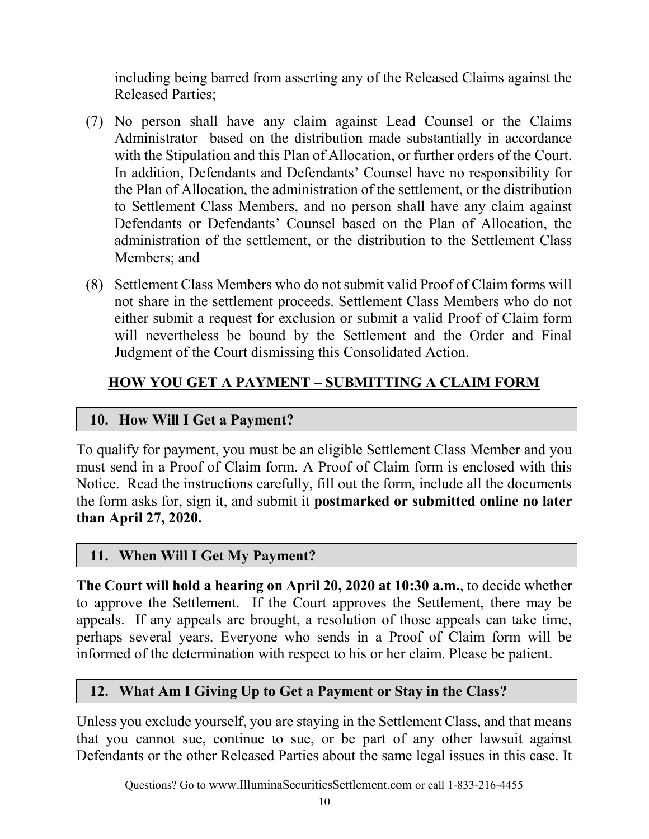including being barred from asserting any of the Released Claims against the Released Parties;

- (7) No person shall have any claim against Lead Counsel or the Claims Administrator based on the distribution made substantially in accordance with the Stipulation and this Plan of Allocation, or further orders of the Court. In addition, Defendants and Defendants' Counsel have no responsibility for the Plan of Allocation, the administration of the settlement, or the distribution to Settlement Class Members, and no person shall have any claim against Defendants or Defendants' Counsel based on the Plan of Allocation, the administration of the settlement, or the distribution to the Settlement Class Members; and
- (8) Settlement Class Members who do not submit valid Proof of Claim forms will not share in the settlement proceeds. Settlement Class Members who do not either submit a request for exclusion or submit a valid Proof of Claim form will nevertheless be bound by the Settlement and the Order and Final Judgment of the Court dismissing this Consolidated Action.

## HOW YOU GET A PAYMENT – SUBMITTING A CLAIM FORM

#### 10. How Will I Get a Payment?

To qualify for payment, you must be an eligible Settlement Class Member and you must send in a Proof of Claim form. A Proof of Claim form is enclosed with this Notice. Read the instructions carefully, fill out the form, include all the documents the form asks for, sign it, and submit it postmarked or submitted online no later than April 27, 2020.

#### 11. When Will I Get My Payment?

The Court will hold a hearing on April 20, 2020 at 10:30 a.m., to decide whether to approve the Settlement. If the Court approves the Settlement, there may be appeals. If any appeals are brought, a resolution of those appeals can take time, perhaps several years. Everyone who sends in a Proof of Claim form will be informed of the determination with respect to his or her claim. Please be patient.

#### 12. What Am I Giving Up to Get a Payment or Stay in the Class?

Unless you exclude yourself, you are staying in the Settlement Class, and that means that you cannot sue, continue to sue, or be part of any other lawsuit against Defendants or the other Released Parties about the same legal issues in this case. It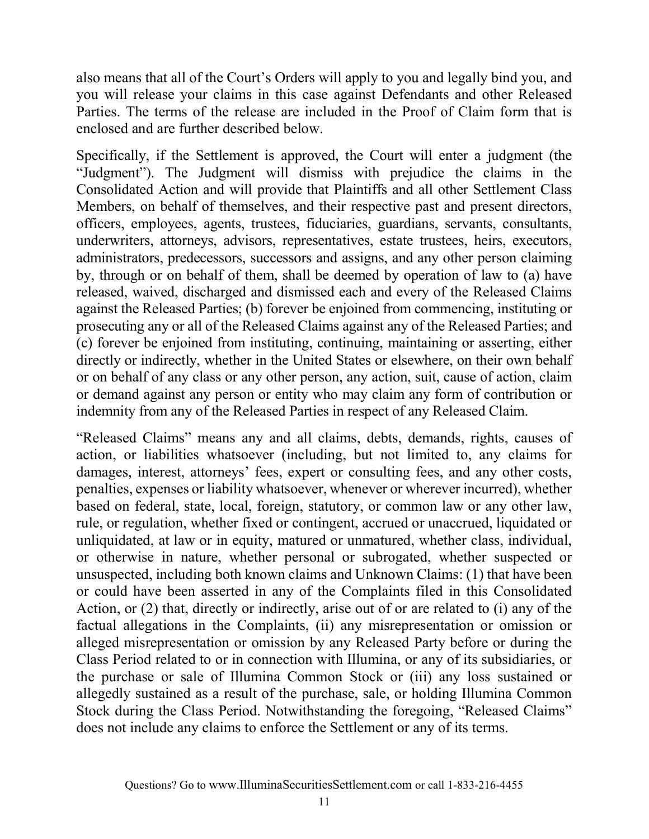also means that all of the Court's Orders will apply to you and legally bind you, and you will release your claims in this case against Defendants and other Released Parties. The terms of the release are included in the Proof of Claim form that is enclosed and are further described below.

Specifically, if the Settlement is approved, the Court will enter a judgment (the "Judgment"). The Judgment will dismiss with prejudice the claims in the Consolidated Action and will provide that Plaintiffs and all other Settlement Class Members, on behalf of themselves, and their respective past and present directors, officers, employees, agents, trustees, fiduciaries, guardians, servants, consultants, underwriters, attorneys, advisors, representatives, estate trustees, heirs, executors, administrators, predecessors, successors and assigns, and any other person claiming by, through or on behalf of them, shall be deemed by operation of law to (a) have released, waived, discharged and dismissed each and every of the Released Claims against the Released Parties; (b) forever be enjoined from commencing, instituting or prosecuting any or all of the Released Claims against any of the Released Parties; and (c) forever be enjoined from instituting, continuing, maintaining or asserting, either directly or indirectly, whether in the United States or elsewhere, on their own behalf or on behalf of any class or any other person, any action, suit, cause of action, claim or demand against any person or entity who may claim any form of contribution or indemnity from any of the Released Parties in respect of any Released Claim.

"Released Claims" means any and all claims, debts, demands, rights, causes of action, or liabilities whatsoever (including, but not limited to, any claims for damages, interest, attorneys' fees, expert or consulting fees, and any other costs, penalties, expenses or liability whatsoever, whenever or wherever incurred), whether based on federal, state, local, foreign, statutory, or common law or any other law, rule, or regulation, whether fixed or contingent, accrued or unaccrued, liquidated or unliquidated, at law or in equity, matured or unmatured, whether class, individual, or otherwise in nature, whether personal or subrogated, whether suspected or unsuspected, including both known claims and Unknown Claims: (1) that have been or could have been asserted in any of the Complaints filed in this Consolidated Action, or (2) that, directly or indirectly, arise out of or are related to (i) any of the factual allegations in the Complaints, (ii) any misrepresentation or omission or alleged misrepresentation or omission by any Released Party before or during the Class Period related to or in connection with Illumina, or any of its subsidiaries, or the purchase or sale of Illumina Common Stock or (iii) any loss sustained or allegedly sustained as a result of the purchase, sale, or holding Illumina Common Stock during the Class Period. Notwithstanding the foregoing, "Released Claims" does not include any claims to enforce the Settlement or any of its terms.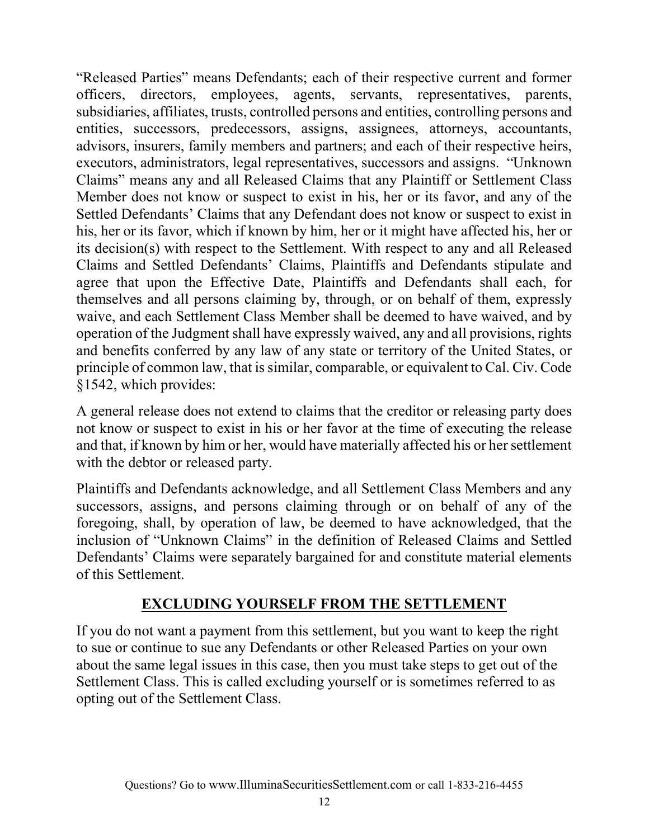"Released Parties" means Defendants; each of their respective current and former officers, directors, employees, agents, servants, representatives, parents, subsidiaries, affiliates, trusts, controlled persons and entities, controlling persons and entities, successors, predecessors, assigns, assignees, attorneys, accountants, advisors, insurers, family members and partners; and each of their respective heirs, executors, administrators, legal representatives, successors and assigns. "Unknown Claims" means any and all Released Claims that any Plaintiff or Settlement Class Member does not know or suspect to exist in his, her or its favor, and any of the Settled Defendants' Claims that any Defendant does not know or suspect to exist in his, her or its favor, which if known by him, her or it might have affected his, her or its decision(s) with respect to the Settlement. With respect to any and all Released Claims and Settled Defendants' Claims, Plaintiffs and Defendants stipulate and agree that upon the Effective Date, Plaintiffs and Defendants shall each, for themselves and all persons claiming by, through, or on behalf of them, expressly waive, and each Settlement Class Member shall be deemed to have waived, and by operation of the Judgment shall have expressly waived, any and all provisions, rights and benefits conferred by any law of any state or territory of the United States, or principle of common law, that is similar, comparable, or equivalent to Cal. Civ. Code §1542, which provides:

A general release does not extend to claims that the creditor or releasing party does not know or suspect to exist in his or her favor at the time of executing the release and that, if known by him or her, would have materially affected his or her settlement with the debtor or released party.

Plaintiffs and Defendants acknowledge, and all Settlement Class Members and any successors, assigns, and persons claiming through or on behalf of any of the foregoing, shall, by operation of law, be deemed to have acknowledged, that the inclusion of "Unknown Claims" in the definition of Released Claims and Settled Defendants' Claims were separately bargained for and constitute material elements of this Settlement.

#### EXCLUDING YOURSELF FROM THE SETTLEMENT

If you do not want a payment from this settlement, but you want to keep the right to sue or continue to sue any Defendants or other Released Parties on your own about the same legal issues in this case, then you must take steps to get out of the Settlement Class. This is called excluding yourself or is sometimes referred to as opting out of the Settlement Class.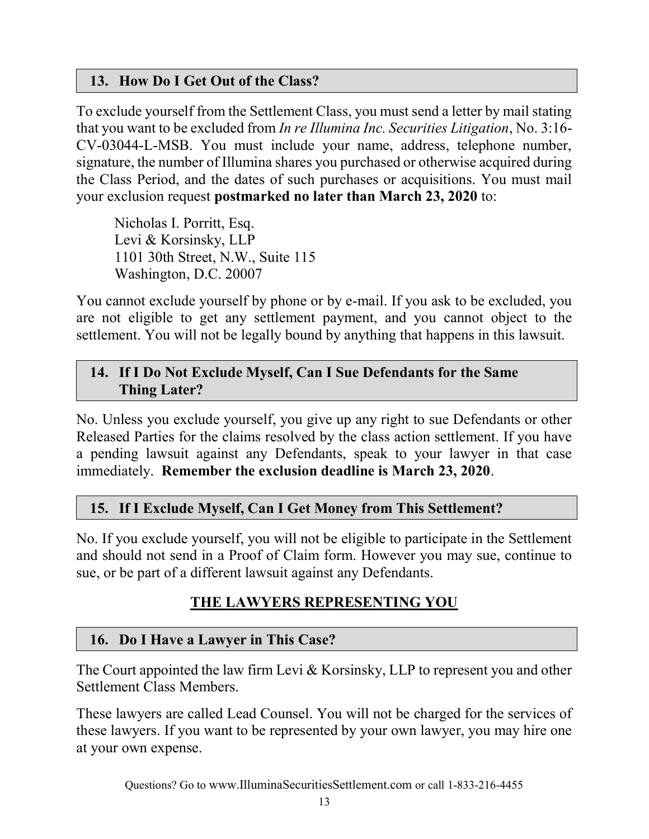#### 13. How Do I Get Out of the Class?

To exclude yourself from the Settlement Class, you must send a letter by mail stating that you want to be excluded from In re Illumina Inc. Securities Litigation, No. 3:16- CV-03044-L-MSB. You must include your name, address, telephone number, signature, the number of Illumina shares you purchased or otherwise acquired during the Class Period, and the dates of such purchases or acquisitions. You must mail your exclusion request postmarked no later than March 23, 2020 to:

 Nicholas I. Porritt, Esq. Levi & Korsinsky, LLP 1101 30th Street, N.W., Suite 115 Washington, D.C. 20007

You cannot exclude yourself by phone or by e-mail. If you ask to be excluded, you are not eligible to get any settlement payment, and you cannot object to the settlement. You will not be legally bound by anything that happens in this lawsuit.

#### 14. If I Do Not Exclude Myself, Can I Sue Defendants for the Same Thing Later?

No. Unless you exclude yourself, you give up any right to sue Defendants or other Released Parties for the claims resolved by the class action settlement. If you have a pending lawsuit against any Defendants, speak to your lawyer in that case immediately. Remember the exclusion deadline is March 23, 2020.

## 15. If I Exclude Myself, Can I Get Money from This Settlement?

No. If you exclude yourself, you will not be eligible to participate in the Settlement and should not send in a Proof of Claim form. However you may sue, continue to sue, or be part of a different lawsuit against any Defendants.

# THE LAWYERS REPRESENTING YOU

## 16. Do I Have a Lawyer in This Case?

The Court appointed the law firm Levi & Korsinsky, LLP to represent you and other Settlement Class Members.

These lawyers are called Lead Counsel. You will not be charged for the services of these lawyers. If you want to be represented by your own lawyer, you may hire one at your own expense.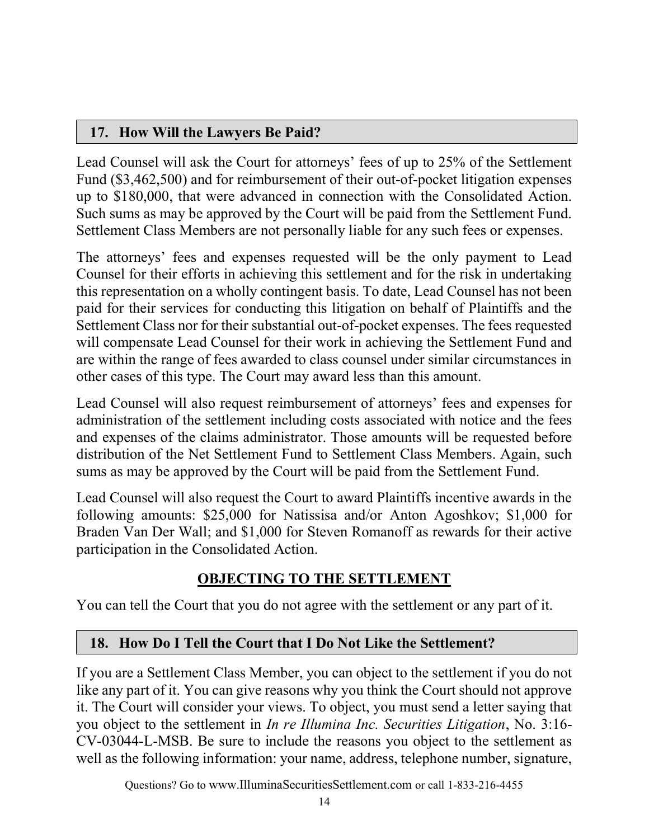#### 17. How Will the Lawyers Be Paid?

Lead Counsel will ask the Court for attorneys' fees of up to 25% of the Settlement Fund (\$3,462,500) and for reimbursement of their out-of-pocket litigation expenses up to \$180,000, that were advanced in connection with the Consolidated Action. Such sums as may be approved by the Court will be paid from the Settlement Fund. Settlement Class Members are not personally liable for any such fees or expenses.

The attorneys' fees and expenses requested will be the only payment to Lead Counsel for their efforts in achieving this settlement and for the risk in undertaking this representation on a wholly contingent basis. To date, Lead Counsel has not been paid for their services for conducting this litigation on behalf of Plaintiffs and the Settlement Class nor for their substantial out-of-pocket expenses. The fees requested will compensate Lead Counsel for their work in achieving the Settlement Fund and are within the range of fees awarded to class counsel under similar circumstances in other cases of this type. The Court may award less than this amount.

Lead Counsel will also request reimbursement of attorneys' fees and expenses for administration of the settlement including costs associated with notice and the fees and expenses of the claims administrator. Those amounts will be requested before distribution of the Net Settlement Fund to Settlement Class Members. Again, such sums as may be approved by the Court will be paid from the Settlement Fund.

Lead Counsel will also request the Court to award Plaintiffs incentive awards in the following amounts: \$25,000 for Natissisa and/or Anton Agoshkov; \$1,000 for Braden Van Der Wall; and \$1,000 for Steven Romanoff as rewards for their active participation in the Consolidated Action.

## OBJECTING TO THE SETTLEMENT

You can tell the Court that you do not agree with the settlement or any part of it.

#### 18. How Do I Tell the Court that I Do Not Like the Settlement?

If you are a Settlement Class Member, you can object to the settlement if you do not like any part of it. You can give reasons why you think the Court should not approve it. The Court will consider your views. To object, you must send a letter saying that you object to the settlement in In re Illumina Inc. Securities Litigation, No. 3:16- CV-03044-L-MSB. Be sure to include the reasons you object to the settlement as well as the following information: your name, address, telephone number, signature,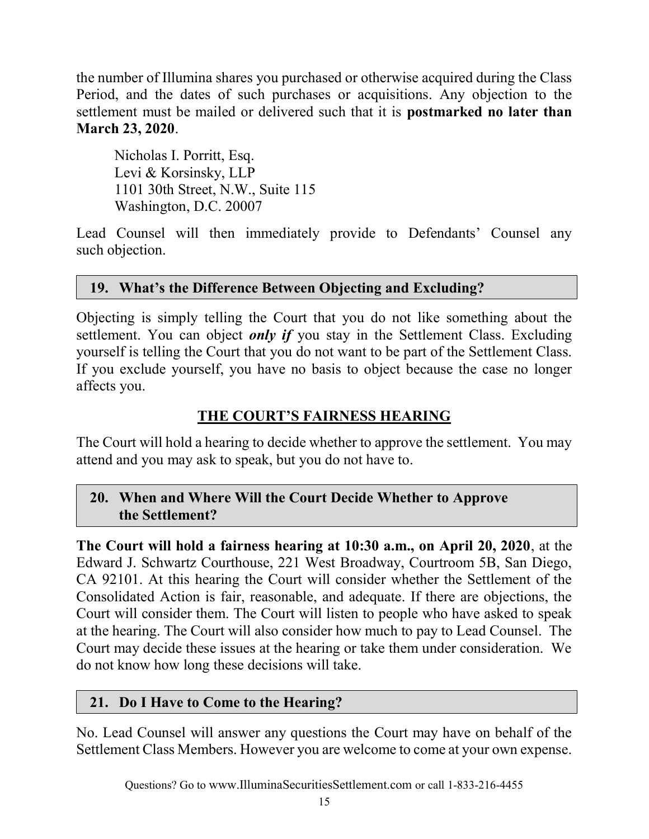the number of Illumina shares you purchased or otherwise acquired during the Class Period, and the dates of such purchases or acquisitions. Any objection to the settlement must be mailed or delivered such that it is postmarked no later than March 23, 2020.

 Nicholas I. Porritt, Esq. Levi & Korsinsky, LLP 1101 30th Street, N.W., Suite 115 Washington, D.C. 20007

Lead Counsel will then immediately provide to Defendants' Counsel any such objection.

#### 19. What's the Difference Between Objecting and Excluding?

Objecting is simply telling the Court that you do not like something about the settlement. You can object *only if* you stay in the Settlement Class. Excluding yourself is telling the Court that you do not want to be part of the Settlement Class. If you exclude yourself, you have no basis to object because the case no longer affects you.

## THE COURT'S FAIRNESS HEARING

The Court will hold a hearing to decide whether to approve the settlement. You may attend and you may ask to speak, but you do not have to.

#### 20. When and Where Will the Court Decide Whether to Approve the Settlement?

The Court will hold a fairness hearing at 10:30 a.m., on April 20, 2020, at the Edward J. Schwartz Courthouse, 221 West Broadway, Courtroom 5B, San Diego, CA 92101. At this hearing the Court will consider whether the Settlement of the Consolidated Action is fair, reasonable, and adequate. If there are objections, the Court will consider them. The Court will listen to people who have asked to speak at the hearing. The Court will also consider how much to pay to Lead Counsel. The Court may decide these issues at the hearing or take them under consideration. We do not know how long these decisions will take.

#### 21. Do I Have to Come to the Hearing?

No. Lead Counsel will answer any questions the Court may have on behalf of the Settlement Class Members. However you are welcome to come at your own expense.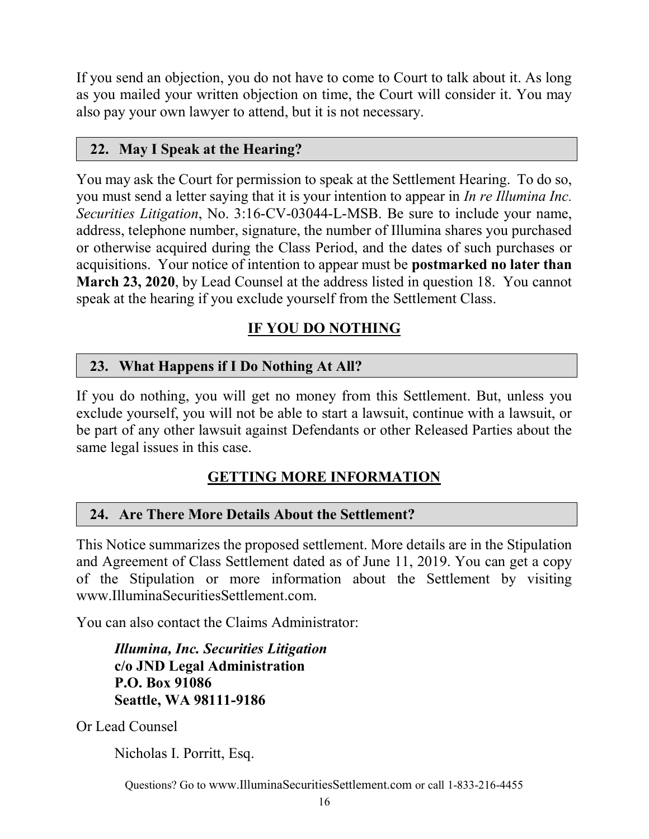If you send an objection, you do not have to come to Court to talk about it. As long as you mailed your written objection on time, the Court will consider it. You may also pay your own lawyer to attend, but it is not necessary.

## 22. May I Speak at the Hearing?

You may ask the Court for permission to speak at the Settlement Hearing. To do so, you must send a letter saying that it is your intention to appear in In re Illumina Inc. Securities Litigation, No. 3:16-CV-03044-L-MSB. Be sure to include your name, address, telephone number, signature, the number of Illumina shares you purchased or otherwise acquired during the Class Period, and the dates of such purchases or acquisitions. Your notice of intention to appear must be postmarked no later than March 23, 2020, by Lead Counsel at the address listed in question 18. You cannot speak at the hearing if you exclude yourself from the Settlement Class.

# IF YOU DO NOTHING

## 23. What Happens if I Do Nothing At All?

If you do nothing, you will get no money from this Settlement. But, unless you exclude yourself, you will not be able to start a lawsuit, continue with a lawsuit, or be part of any other lawsuit against Defendants or other Released Parties about the same legal issues in this case.

# GETTING MORE INFORMATION

## 24. Are There More Details About the Settlement?

This Notice summarizes the proposed settlement. More details are in the Stipulation and Agreement of Class Settlement dated as of June 11, 2019. You can get a copy of the Stipulation or more information about the Settlement by visiting www.IlluminaSecuritiesSettlement.com.

You can also contact the Claims Administrator:

Illumina, Inc. Securities Litigation c/o JND Legal Administration P.O. Box 91086 Seattle, WA 98111-9186

Or Lead Counsel

Nicholas I. Porritt, Esq.

Questions? Go to www.IlluminaSecuritiesSettlement.com or call 1-833-216-4455